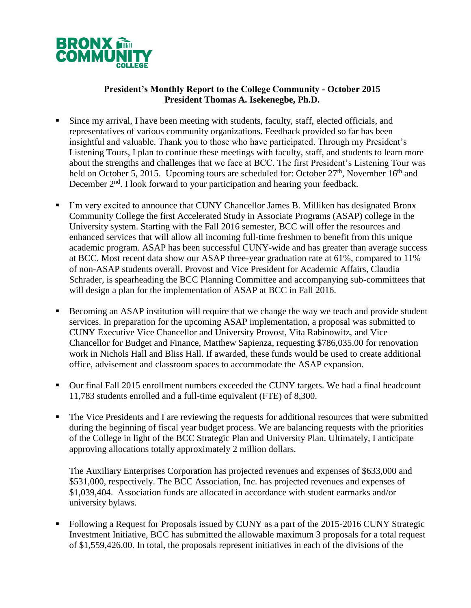

## **President's Monthly Report to the College Community - October 2015 President Thomas A. Isekenegbe, Ph.D.**

- Since my arrival, I have been meeting with students, faculty, staff, elected officials, and representatives of various community organizations. Feedback provided so far has been insightful and valuable. Thank you to those who have participated. Through my President's Listening Tours, I plan to continue these meetings with faculty, staff, and students to learn more about the strengths and challenges that we face at BCC. The first President's Listening Tour was held on October 5, 2015. Upcoming tours are scheduled for: October  $27<sup>th</sup>$ , November  $16<sup>th</sup>$  and December 2<sup>nd</sup>. I look forward to your participation and hearing your feedback.
- I'm very excited to announce that CUNY Chancellor James B. Milliken has designated Bronx Community College the first Accelerated Study in Associate Programs (ASAP) college in the University system. Starting with the Fall 2016 semester, BCC will offer the resources and enhanced services that will allow all incoming full-time freshmen to benefit from this unique academic program. ASAP has been successful CUNY-wide and has greater than average success at BCC. Most recent data show our ASAP three-year graduation rate at 61%, compared to 11% of non-ASAP students overall. Provost and Vice President for Academic Affairs, Claudia Schrader, is spearheading the BCC Planning Committee and accompanying sub-committees that will design a plan for the implementation of ASAP at BCC in Fall 2016.
- Becoming an ASAP institution will require that we change the way we teach and provide student services. In preparation for the upcoming ASAP implementation, a proposal was submitted to CUNY Executive Vice Chancellor and University Provost, Vita Rabinowitz, and Vice Chancellor for Budget and Finance, Matthew Sapienza, requesting \$786,035.00 for renovation work in Nichols Hall and Bliss Hall. If awarded, these funds would be used to create additional office, advisement and classroom spaces to accommodate the ASAP expansion.
- Our final Fall 2015 enrollment numbers exceeded the CUNY targets. We had a final headcount 11,783 students enrolled and a full-time equivalent (FTE) of 8,300.
- The Vice Presidents and I are reviewing the requests for additional resources that were submitted during the beginning of fiscal year budget process. We are balancing requests with the priorities of the College in light of the BCC Strategic Plan and University Plan. Ultimately, I anticipate approving allocations totally approximately 2 million dollars.

The Auxiliary Enterprises Corporation has projected revenues and expenses of \$633,000 and \$531,000, respectively. The BCC Association, Inc. has projected revenues and expenses of \$1,039,404. Association funds are allocated in accordance with student earmarks and/or university bylaws.

 Following a Request for Proposals issued by CUNY as a part of the 2015-2016 CUNY Strategic Investment Initiative, BCC has submitted the allowable maximum 3 proposals for a total request of \$1,559,426.00. In total, the proposals represent initiatives in each of the divisions of the